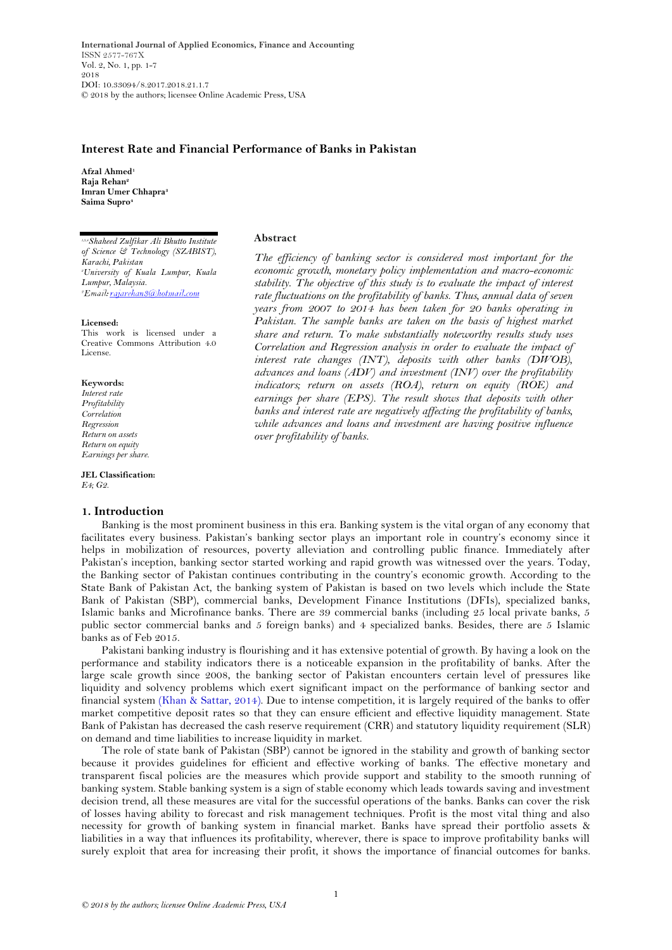**International Journal of Applied Economics, Finance and Accounting** ISSN 2577-767X Vol. 2, No. 1, pp. 1-7 2018 DOI: 10.33094/8.2017.2018.21.1.7 © 2018 by the authors; licensee Online Academic Press, USA

## **Interest Rate and Financial Performance of Banks in Pakistan**

**Afzal Ahmed<sup>1</sup> Raja Rehan<sup>2</sup> Imran Umer Chhapra<sup>3</sup> Saima Supro<sup>4</sup>**

*1,3,4Shaheed Zulfikar Ali Bhutto Institute of Science & Technology (SZABIST), Karachi, Pakistan <sup>2</sup>University of Kuala Lumpur, Kuala Lumpur, Malaysia.* <sup>2</sup>Email: rajarehan3@hotmail.com

#### **Licensed:**

This work is licensed under a Creative Commons Attribution 4.0 License.

#### **Keywords:**

*Interest rate Profitability Correlation Regression Return on assets Return on equity Earnings per share.*

**JEL Classification:** *E4; G2.*

## **1. Introduction**

### **Abstract**

*The efficiency of banking sector is considered most important for the economic growth, monetary policy implementation and macro-economic stability. The objective of this study is to evaluate the impact of interest rate fluctuations on the profitability of banks. Thus, annual data of seven years from 2007 to 2014 has been taken for 20 banks operating in*  Pakistan. The sample banks are taken on the basis of highest market *share and return. To make substantially noteworthy results study uses Correlation and Regression analysis in order to evaluate the impact of interest rate changes (INT), deposits with other banks (DWOB), advances and loans (ADV) and investment (INV) over the profitability indicators; return on assets (ROA), return on equity (ROE) and earnings per share (EPS). The result shows that deposits with other banks and interest rate are negatively affecting the profitability of banks, while advances and loans and investment are having positive influence over profitability of banks.*

Banking is the most prominent business in this era. Banking system is the vital organ of any economy that facilitates every business. Pakistan's banking sector plays an important role in country's economy since it helps in mobilization of resources, poverty alleviation and controlling public finance. Immediately after Pakistan's inception, banking sector started working and rapid growth was witnessed over the years. Today, the Banking sector of Pakistan continues contributing in the country's economic growth. According to the State Bank of Pakistan Act, the banking system of Pakistan is based on two levels which include the State Bank of Pakistan (SBP), commercial banks, Development Finance Institutions (DFIs), specialized banks, Islamic banks and Microfinance banks. There are 39 commercial banks (including 25 local private banks, 5 public sector commercial banks and 5 foreign banks) and 4 specialized banks. Besides, there are 5 Islamic banks as of Feb 2015.

Pakistani banking industry is flourishing and it has extensive potential of growth. By having a look on the performance and stability indicators there is a noticeable expansion in the profitability of banks. After the large scale growth since 2008, the banking sector of Pakistan encounters certain level of pressures like liquidity and solvency problems which exert significant impact on the performance of banking sector and financial system [\(Khan & Sattar, 2014\)](#page-6-0). Due to intense competition, it is largely required of the banks to offer market competitive deposit rates so that they can ensure efficient and effective liquidity management. State Bank of Pakistan has decreased the cash reserve requirement (CRR) and statutory liquidity requirement (SLR) on demand and time liabilities to increase liquidity in market.

The role of state bank of Pakistan (SBP) cannot be ignored in the stability and growth of banking sector because it provides guidelines for efficient and effective working of banks. The effective monetary and transparent fiscal policies are the measures which provide support and stability to the smooth running of banking system. Stable banking system is a sign of stable economy which leads towards saving and investment decision trend, all these measures are vital for the successful operations of the banks. Banks can cover the risk of losses having ability to forecast and risk management techniques. Profit is the most vital thing and also necessity for growth of banking system in financial market. Banks have spread their portfolio assets & liabilities in a way that influences its profitability, wherever, there is space to improve profitability banks will surely exploit that area for increasing their profit, it shows the importance of financial outcomes for banks.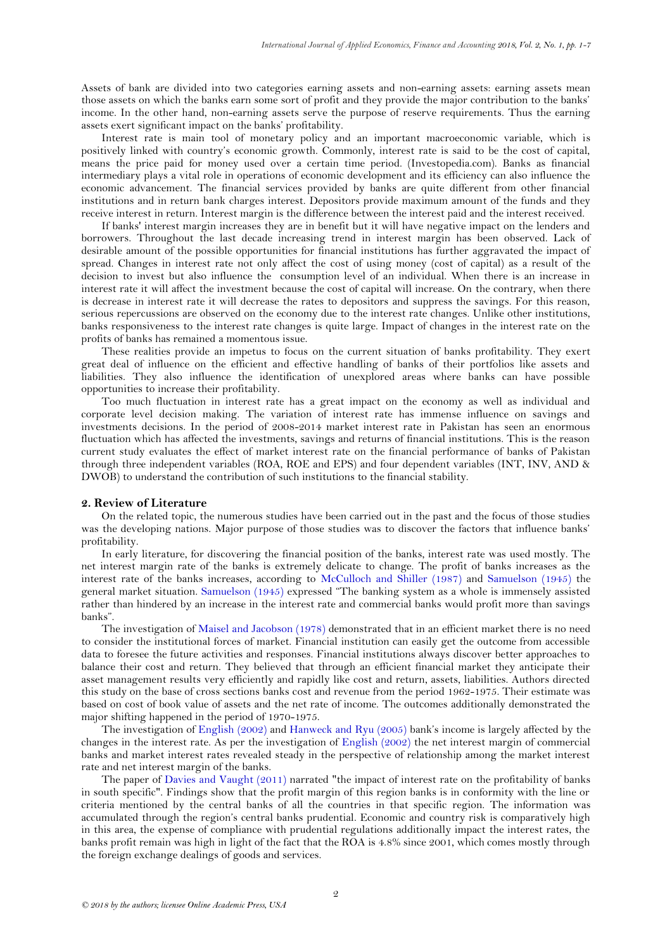Assets of bank are divided into two categories earning assets and non-earning assets: earning assets mean those assets on which the banks earn some sort of profit and they provide the major contribution to the banks' income. In the other hand, non-earning assets serve the purpose of reserve requirements. Thus the earning assets exert significant impact on the banks' profitability.

Interest rate is main tool of monetary policy and an important macroeconomic variable, which is positively linked with country's economic growth. Commonly, interest rate is said to be the cost of capital, means the price paid for money used over a certain time period. (Investopedia.com). Banks as financial intermediary plays a vital role in operations of economic development and its efficiency can also influence the economic advancement. The financial services provided by banks are quite different from other financial institutions and in return bank charges interest. Depositors provide maximum amount of the funds and they receive interest in return. Interest margin is the difference between the interest paid and the interest received.

If banks' interest margin increases they are in benefit but it will have negative impact on the lenders and borrowers. Throughout the last decade increasing trend in interest margin has been observed. Lack of desirable amount of the possible opportunities for financial institutions has further aggravated the impact of spread. Changes in interest rate not only affect the cost of using money (cost of capital) as a result of the decision to invest but also influence the consumption level of an individual. When there is an increase in interest rate it will affect the investment because the cost of capital will increase. On the contrary, when there is decrease in interest rate it will decrease the rates to depositors and suppress the savings. For this reason, serious repercussions are observed on the economy due to the interest rate changes. Unlike other institutions, banks responsiveness to the interest rate changes is quite large. Impact of changes in the interest rate on the profits of banks has remained a momentous issue.

These realities provide an impetus to focus on the current situation of banks profitability. They exert great deal of influence on the efficient and effective handling of banks of their portfolios like assets and liabilities. They also influence the identification of unexplored areas where banks can have possible opportunities to increase their profitability.

Too much fluctuation in interest rate has a great impact on the economy as well as individual and corporate level decision making. The variation of interest rate has immense influence on savings and investments decisions. In the period of 2008-2014 market interest rate in Pakistan has seen an enormous fluctuation which has affected the investments, savings and returns of financial institutions. This is the reason current study evaluates the effect of market interest rate on the financial performance of banks of Pakistan through three independent variables (ROA, ROE and EPS) and four dependent variables (INT, INV, AND & DWOB) to understand the contribution of such institutions to the financial stability.

### **2. Review of Literature**

On the related topic, the numerous studies have been carried out in the past and the focus of those studies was the developing nations. Major purpose of those studies was to discover the factors that influence banks' profitability.

In early literature, for discovering the financial position of the banks, interest rate was used mostly. The net interest margin rate of the banks is extremely delicate to change. The profit of banks increases as the interest rate of the banks increases, according to [McCulloch and Shiller \(1987\)](#page-6-1) and [Samuelson \(1945\)](#page-6-2) the general market situation. [Samuelson \(1945\)](#page-6-2) expressed "The banking system as a whole is immensely assisted rather than hindered by an increase in the interest rate and commercial banks would profit more than savings banks".

The investigation of [Maisel and Jacobson \(1978\)](#page-6-3) demonstrated that in an efficient market there is no need to consider the institutional forces of market. Financial institution can easily get the outcome from accessible data to foresee the future activities and responses. Financial institutions always discover better approaches to balance their cost and return. They believed that through an efficient financial market they anticipate their asset management results very efficiently and rapidly like cost and return, assets, liabilities. Authors directed this study on the base of cross sections banks cost and revenue from the period 1962-1975. Their estimate was based on cost of book value of assets and the net rate of income. The outcomes additionally demonstrated the major shifting happened in the period of 1970-1975.

The investigation of [English \(2002\)](#page-5-0) an[d Hanweck and Ryu \(2005\)](#page-5-1) bank's income is largely affected by the changes in the interest rate. As per the investigation of [English \(2002\)](#page-5-0) the net interest margin of commercial banks and market interest rates revealed steady in the perspective of relationship among the market interest rate and net interest margin of the banks.

The paper of [Davies and Vaught \(2011\)](#page-5-2) narrated "the impact of interest rate on the profitability of banks in south specific". Findings show that the profit margin of this region banks is in conformity with the line or criteria mentioned by the central banks of all the countries in that specific region. The information was accumulated through the region's central banks prudential. Economic and country risk is comparatively high in this area, the expense of compliance with prudential regulations additionally impact the interest rates, the banks profit remain was high in light of the fact that the ROA is 4.8% since 2001, which comes mostly through the foreign exchange dealings of goods and services.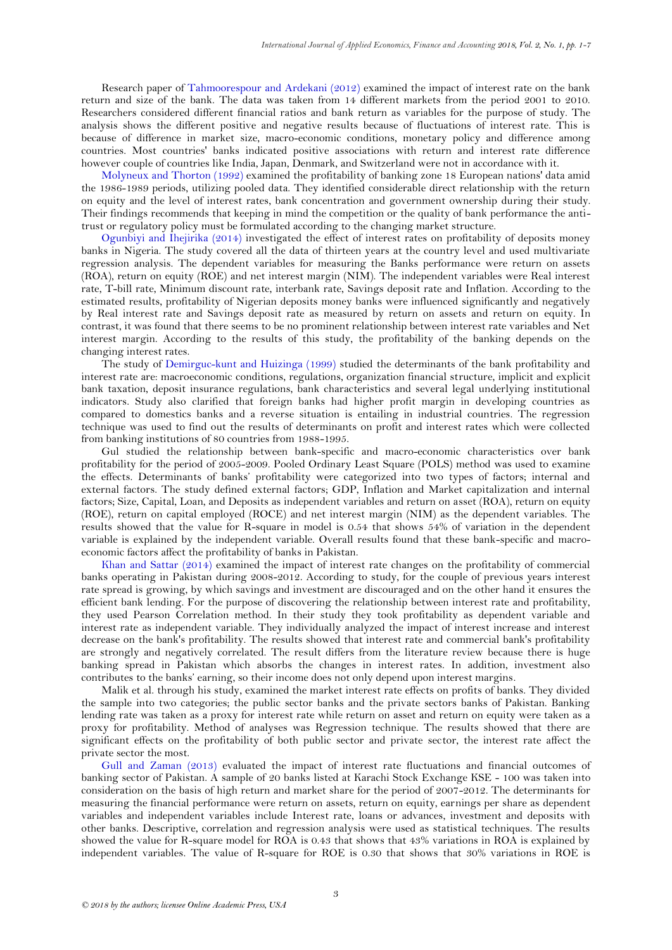Research paper of [Tahmoorespour and Ardekani \(2012\)](#page-6-4) examined the impact of interest rate on the bank return and size of the bank. The data was taken from 14 different markets from the period 2001 to 2010. Researchers considered different financial ratios and bank return as variables for the purpose of study. The analysis shows the different positive and negative results because of fluctuations of interest rate. This is because of difference in market size, macro-economic conditions, monetary policy and difference among countries. Most countries' banks indicated positive associations with return and interest rate difference however couple of countries like India, Japan, Denmark, and Switzerland were not in accordance with it.

[Molyneux and Thorton \(1992\)](#page-6-5) examined the profitability of banking zone 18 European nations' data amid the 1986-1989 periods, utilizing pooled data. They identified considerable direct relationship with the return on equity and the level of interest rates, bank concentration and government ownership during their study. Their findings recommends that keeping in mind the competition or the quality of bank performance the antitrust or regulatory policy must be formulated according to the changing market structure.

[Ogunbiyi and Ihejirika \(2014\)](#page-6-6) investigated the effect of interest rates on profitability of deposits money banks in Nigeria. The study covered all the data of thirteen years at the country level and used multivariate regression analysis. The dependent variables for measuring the Banks performance were return on assets (ROA), return on equity (ROE) and net interest margin (NIM). The independent variables were Real interest rate, T-bill rate, Minimum discount rate, interbank rate, Savings deposit rate and Inflation. According to the estimated results, profitability of Nigerian deposits money banks were influenced significantly and negatively by Real interest rate and Savings deposit rate as measured by return on assets and return on equity. In contrast, it was found that there seems to be no prominent relationship between interest rate variables and Net interest margin. According to the results of this study, the profitability of the banking depends on the changing interest rates.

The study of [Demirguc-kunt and Huizinga \(1999\)](#page-5-3) studied the determinants of the bank profitability and interest rate are: macroeconomic conditions, regulations, organization financial structure, implicit and explicit bank taxation, deposit insurance regulations, bank characteristics and several legal underlying institutional indicators. Study also clarified that foreign banks had higher profit margin in developing countries as compared to domestics banks and a reverse situation is entailing in industrial countries. The regression technique was used to find out the results of determinants on profit and interest rates which were collected from banking institutions of 80 countries from 1988-1995.

Gul studied the relationship between bank-specific and macro-economic characteristics over bank profitability for the period of 2005-2009. Pooled Ordinary Least Square (POLS) method was used to examine the effects. Determinants of banks' profitability were categorized into two types of factors; internal and external factors. The study defined external factors; GDP, Inflation and Market capitalization and internal factors; Size, Capital, Loan, and Deposits as independent variables and return on asset (ROA), return on equity (ROE), return on capital employed (ROCE) and net interest margin (NIM) as the dependent variables. The results showed that the value for R-square in model is 0.54 that shows 54% of variation in the dependent variable is explained by the independent variable. Overall results found that these bank-specific and macroeconomic factors affect the profitability of banks in Pakistan.

[Khan and Sattar \(2014\)](#page-6-0) examined the impact of interest rate changes on the profitability of commercial banks operating in Pakistan during 2008-2012. According to study, for the couple of previous years interest rate spread is growing, by which savings and investment are discouraged and on the other hand it ensures the efficient bank lending. For the purpose of discovering the relationship between interest rate and profitability, they used Pearson Correlation method. In their study they took profitability as dependent variable and interest rate as independent variable. They individually analyzed the impact of interest increase and interest decrease on the bank's profitability. The results showed that interest rate and commercial bank's profitability are strongly and negatively correlated. The result differs from the literature review because there is huge banking spread in Pakistan which absorbs the changes in interest rates. In addition, investment also contributes to the banks' earning, so their income does not only depend upon interest margins.

Malik et al. through his study, examined the market interest rate effects on profits of banks. They divided the sample into two categories; the public sector banks and the private sectors banks of Pakistan. Banking lending rate was taken as a proxy for interest rate while return on asset and return on equity were taken as a proxy for profitability. Method of analyses was Regression technique. The results showed that there are significant effects on the profitability of both public sector and private sector, the interest rate affect the private sector the most.

[Gull and Zaman \(2013\)](#page-5-4) evaluated the impact of interest rate fluctuations and financial outcomes of banking sector of Pakistan. A sample of 20 banks listed at Karachi Stock Exchange KSE - 100 was taken into consideration on the basis of high return and market share for the period of 2007-2012. The determinants for measuring the financial performance were return on assets, return on equity, earnings per share as dependent variables and independent variables include Interest rate, loans or advances, investment and deposits with other banks. Descriptive, correlation and regression analysis were used as statistical techniques. The results showed the value for R-square model for ROA is 0.43 that shows that 43% variations in ROA is explained by independent variables. The value of R-square for ROE is 0.30 that shows that 30% variations in ROE is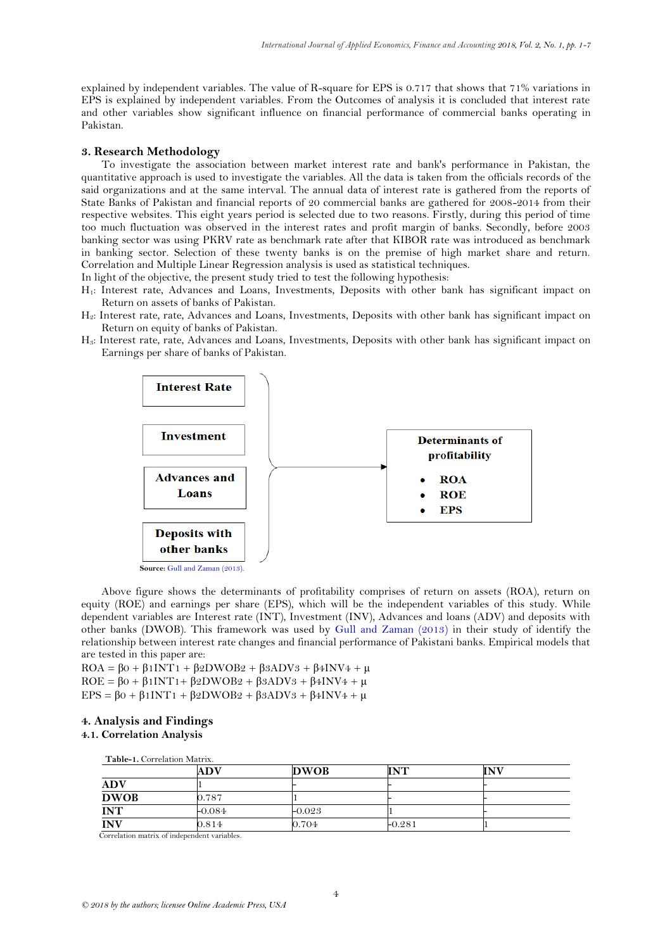explained by independent variables. The value of R-square for EPS is 0.717 that shows that 71% variations in EPS is explained by independent variables. From the Outcomes of analysis it is concluded that interest rate and other variables show significant influence on financial performance of commercial banks operating in Pakistan.

### **3. Research Methodology**

To investigate the association between market interest rate and bank's performance in Pakistan, the quantitative approach is used to investigate the variables. All the data is taken from the officials records of the said organizations and at the same interval. The annual data of interest rate is gathered from the reports of State Banks of Pakistan and financial reports of 20 commercial banks are gathered for 2008-2014 from their respective websites. This eight years period is selected due to two reasons. Firstly, during this period of time too much fluctuation was observed in the interest rates and profit margin of banks. Secondly, before 2003 banking sector was using PKRV rate as benchmark rate after that KIBOR rate was introduced as benchmark in banking sector. Selection of these twenty banks is on the premise of high market share and return. Correlation and Multiple Linear Regression analysis is used as statistical techniques.

In light of the objective, the present study tried to test the following hypothesis:

- H<sub>1</sub>: Interest rate, Advances and Loans, Investments, Deposits with other bank has significant impact on Return on assets of banks of Pakistan.
- H2: Interest rate, rate, Advances and Loans, Investments, Deposits with other bank has significant impact on Return on equity of banks of Pakistan.
- H3: Interest rate, rate, Advances and Loans, Investments, Deposits with other bank has significant impact on Earnings per share of banks of Pakistan.



Above figure shows the determinants of profitability comprises of return on assets (ROA), return on equity (ROE) and earnings per share (EPS), which will be the independent variables of this study. While dependent variables are Interest rate (INT), Investment (INV), Advances and loans (ADV) and deposits with other banks (DWOB). This framework was used by [Gull and Zaman \(2013\)](#page-5-4) in their study of identify the relationship between interest rate changes and financial performance of Pakistani banks. Empirical models that are tested in this paper are:

 $ROA = \beta_0 + \beta_1 INT_1 + \beta_2 DWOB_2 + \beta_3 ADV_3 + \beta_4 INV_4 + \mu$ ROE =  $\beta$ 0 +  $\beta$ 1INT1 +  $\beta$ 2DWOB2 +  $\beta$ 3ADV3 +  $\beta$ 4INV4 +  $\mu$ EPS =  $β0 + β1INT1 + β2DWOB2 + β3ADV3 + β4INV4 + μ$ 

# **4. Analysis and Findings**

# **4.1. Correlation Analysis**

<span id="page-3-0"></span> **Table-1.** Correlation Matrix.

|             | ADV      | <b>DWOB</b> | INT      | <b>INV</b> |
|-------------|----------|-------------|----------|------------|
| <b>ADV</b>  |          |             |          |            |
| <b>DWOB</b> | 0.787    |             |          |            |
| <b>INT</b>  | $-0.084$ | $-0.023$    |          |            |
| <b>INV</b>  | 0.814    | 0.704       | $-0.281$ |            |

Correlation matrix of independent variables.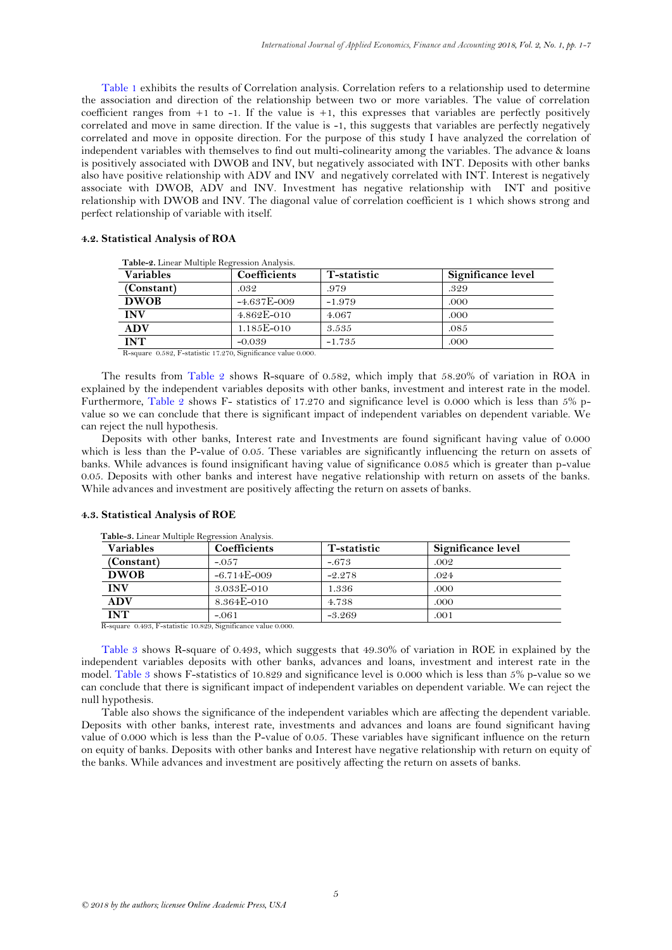[Table 1](#page-3-0) exhibits the results of Correlation analysis. Correlation refers to a relationship used to determine the association and direction of the relationship between two or more variables. The value of correlation coefficient ranges from  $+1$  to  $-1$ . If the value is  $+1$ , this expresses that variables are perfectly positively correlated and move in same direction. If the value is -1, this suggests that variables are perfectly negatively correlated and move in opposite direction. For the purpose of this study I have analyzed the correlation of independent variables with themselves to find out multi-colinearity among the variables. The advance & loans is positively associated with DWOB and INV, but negatively associated with INT. Deposits with other banks also have positive relationship with ADV and INV and negatively correlated with INT. Interest is negatively associate with DWOB, ADV and INV. Investment has negative relationship with INT and positive relationship with DWOB and INV. The diagonal value of correlation coefficient is 1 which shows strong and perfect relationship of variable with itself.

### **4.2. Statistical Analysis of ROA**

| <b>Variables</b> | Coefficients                                                  | T-statistic | Significance level |
|------------------|---------------------------------------------------------------|-------------|--------------------|
| (Constant)       | .032                                                          | .979        | .329               |
| <b>DWOB</b>      | $-4.637E - 009$                                               | $-1.979$    | .000               |
| <b>INV</b>       | $4.862E - 010$                                                | 4.067       | .000               |
| ADV              | $1.185E - 010$                                                | 3.535       | .085               |
| <b>INT</b>       | $-0.039$                                                      | $-1.735$    | .000               |
|                  | R-square 0.582, F-statistic 17.270, Significance value 0.000. |             |                    |

<span id="page-4-0"></span> **Table-2.** Linear Multiple Regression Analysis.

The results from [Table 2](#page-4-0) shows R-square of 0.582, which imply that 58.20% of variation in ROA in explained by the independent variables deposits with other banks, investment and interest rate in the model. Furthermore, [Table 2](#page-4-0) shows F- statistics of 17.270 and significance level is 0.000 which is less than 5% pvalue so we can conclude that there is significant impact of independent variables on dependent variable. We can reject the null hypothesis.

Deposits with other banks, Interest rate and Investments are found significant having value of 0.000 which is less than the P-value of 0.05. These variables are significantly influencing the return on assets of banks. While advances is found insignificant having value of significance 0.085 which is greater than p-value 0.05. Deposits with other banks and interest have negative relationship with return on assets of the banks. While advances and investment are positively affecting the return on assets of banks.

| <b>Variables</b> | <b>Coefficients</b> | T-statistic | Significance level |
|------------------|---------------------|-------------|--------------------|
| (Constant)       | $-.057$             | $-.673$     | .002               |
| <b>DWOB</b>      | $-6.714E - 009$     | $-2.278$    | .024               |
| <b>INV</b>       | 3.033E-010          | 1.336       | .000               |
| <b>ADV</b>       | 8.364E-010          | 4.738       | .000               |
| <b>INT</b>       | $-.061$             | $-3.269$    | .001               |

### **4.3. Statistical Analysis of ROE**

<span id="page-4-1"></span> **Table-3.** Linear Multiple Regression Analysis.

R-square 0.493, F-statistic 10.829, Significance value 0.000.

[Table 3](#page-4-1) shows R-square of 0.493, which suggests that 49.30% of variation in ROE in explained by the independent variables deposits with other banks, advances and loans, investment and interest rate in the model. [Table 3](#page-4-1) shows F-statistics of 10.829 and significance level is 0.000 which is less than 5% p-value so we can conclude that there is significant impact of independent variables on dependent variable. We can reject the null hypothesis.

Table also shows the significance of the independent variables which are affecting the dependent variable. Deposits with other banks, interest rate, investments and advances and loans are found significant having value of 0.000 which is less than the P-value of 0.05. These variables have significant influence on the return on equity of banks. Deposits with other banks and Interest have negative relationship with return on equity of the banks. While advances and investment are positively affecting the return on assets of banks.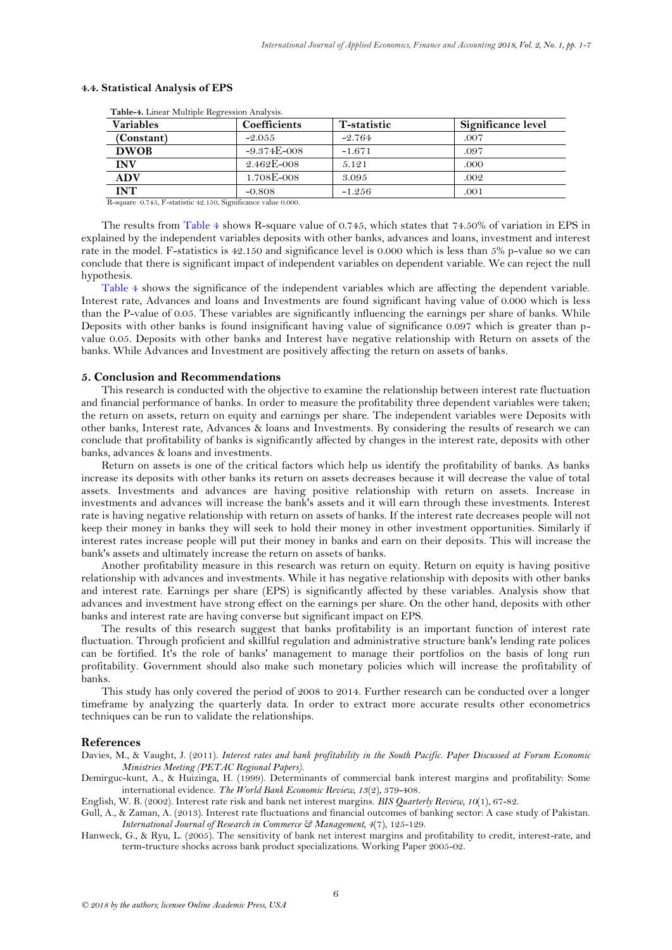| <b>Variables</b> | Coefficients    | T-statistic | Significance level |
|------------------|-----------------|-------------|--------------------|
| (Constant)       | $-2.055$        | $-2.764$    | .007               |
| <b>DWOB</b>      | $-9.374E - 008$ | $-1.671$    | .097               |
| <b>INV</b>       | $2.462E - 008$  | 5.121       | .000               |
| <b>ADV</b>       | 1.708E-008      | 3.095       | .002               |
| <b>INT</b>       | $-0.808$        | $-1.256$    | .001               |

## **4.4. Statistical Analysis of EPS**

R-square 0.745, F-statistic 42.150, Significance value 0.000.

<span id="page-5-5"></span> **Table-4.** Linear Multiple Regression Analysis.

The results from [Table 4](#page-5-5) shows R-square value of 0.745, which states that 74.50% of variation in EPS in explained by the independent variables deposits with other banks, advances and loans, investment and interest rate in the model. F-statistics is 42.150 and significance level is 0.000 which is less than 5% p-value so we can conclude that there is significant impact of independent variables on dependent variable. We can reject the null hypothesis.

[Table 4](#page-5-5) shows the significance of the independent variables which are affecting the dependent variable. Interest rate, Advances and loans and Investments are found significant having value of 0.000 which is less than the P-value of 0.05. These variables are significantly influencing the earnings per share of banks. While Deposits with other banks is found insignificant having value of significance 0.097 which is greater than pvalue 0.05. Deposits with other banks and Interest have negative relationship with Return on assets of the banks. While Advances and Investment are positively affecting the return on assets of banks.

## **5. Conclusion and Recommendations**

This research is conducted with the objective to examine the relationship between interest rate fluctuation and financial performance of banks. In order to measure the profitability three dependent variables were taken; the return on assets, return on equity and earnings per share. The independent variables were Deposits with other banks, Interest rate, Advances & loans and Investments. By considering the results of research we can conclude that profitability of banks is significantly affected by changes in the interest rate, deposits with other banks, advances & loans and investments.

Return on assets is one of the critical factors which help us identify the profitability of banks. As banks increase its deposits with other banks its return on assets decreases because it will decrease the value of total assets. Investments and advances are having positive relationship with return on assets. Increase in investments and advances will increase the bank's assets and it will earn through these investments. Interest rate is having negative relationship with return on assets of banks. If the interest rate decreases people will not keep their money in banks they will seek to hold their money in other investment opportunities. Similarly if interest rates increase people will put their money in banks and earn on their deposits. This will increase the bank's assets and ultimately increase the return on assets of banks.

Another profitability measure in this research was return on equity. Return on equity is having positive relationship with advances and investments. While it has negative relationship with deposits with other banks and interest rate. Earnings per share (EPS) is significantly affected by these variables. Analysis show that advances and investment have strong effect on the earnings per share. On the other hand, deposits with other banks and interest rate are having converse but significant impact on EPS.

The results of this research suggest that banks profitability is an important function of interest rate fluctuation. Through proficient and skillful regulation and administrative structure bank's lending rate polices can be fortified. It's the role of banks' management to manage their portfolios on the basis of long run profitability. Government should also make such monetary policies which will increase the profitability of banks.

This study has only covered the period of 2008 to 2014. Further research can be conducted over a longer timeframe by analyzing the quarterly data. In order to extract more accurate results other econometrics techniques can be run to validate the relationships.

### **References**

<span id="page-5-2"></span>Davies, M., & Vaught, J. (2011). *Interest rates and bank profitability in the South Pacific. Paper Discussed at Forum Economic Ministries Meeting (PETAC Regional Papers)*.

<span id="page-5-3"></span>Demirguc-kunt, A., & Huizinga, H. (1999). Determinants of commercial bank interest margins and profitability: Some international evidence. *The World Bank Economic Review, 13*(2), 379-408.

<span id="page-5-0"></span>English, W. B. (2002). Interest rate risk and bank net interest margins. *BIS Quarterly Review, 10*(1), 67-82.

<span id="page-5-4"></span>Gull, A., & Zaman, A. (2013). Interest rate fluctuations and financial outcomes of banking sector: A case study of Pakistan. *International Journal of Research in Commerce & Management, 4*(7), 125-129.

<span id="page-5-1"></span>Hanweck, G., & Ryu, L. (2005). The sensitivity of bank net interest margins and profitability to credit, interest-rate, and term-tructure shocks across bank product specializations. Working Paper 2005-02.